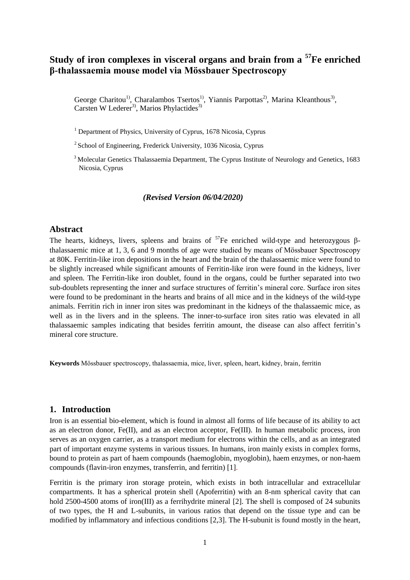# **Study of iron complexes in visceral organs and brain from a <sup>57</sup>Fe enriched β-thalassaemia mouse model via Mössbauer Spectroscopy**

George Charitou<sup>1)</sup>, Charalambos Tsertos<sup>1)</sup>, Yiannis Parpottas<sup>2)</sup>, Marina Kleanthous<sup>3)</sup>, Carsten W Lederer<sup>3)</sup>, Marios Phylactides<sup>3)</sup>

<sup>1</sup> Department of Physics, University of Cyprus, 1678 Nicosia, Cyprus

 $2$  School of Engineering, Frederick University, 1036 Nicosia, Cyprus

<sup>3</sup> Molecular Genetics Thalassaemia Department, The Cyprus Institute of Neurology and Genetics, 1683 Nicosia, Cyprus

### *(Revised Version 06/04/2020)*

### **Abstract**

The hearts, kidneys, livers, spleens and brains of  ${}^{57}Fe$  enriched wild-type and heterozygous βthalassaemic mice at 1, 3, 6 and 9 months of age were studied by means of Mössbauer Spectroscopy at 80K. Ferritin-like iron depositions in the heart and the brain of the thalassaemic mice were found to be slightly increased while significant amounts of Ferritin-like iron were found in the kidneys, liver and spleen. The Ferritin-like iron doublet, found in the organs, could be further separated into two sub-doublets representing the inner and surface structures of ferritin's mineral core. Surface iron sites were found to be predominant in the hearts and brains of all mice and in the kidneys of the wild-type animals. Ferritin rich in inner iron sites was predominant in the kidneys of the thalassaemic mice, as well as in the livers and in the spleens. The inner-to-surface iron sites ratio was elevated in all thalassaemic samples indicating that besides ferritin amount, the disease can also affect ferritin's mineral core structure.

**Keywords** Mössbauer spectroscopy, thalassaemia, mice, liver, spleen, heart, kidney, brain, ferritin

## **1. Introduction**

Iron is an essential bio-element, which is found in almost all forms of life because of its ability to act as an electron donor, Fe(II), and as an electron acceptor, Fe(III). In human metabolic process, iron serves as an oxygen carrier, as a transport medium for electrons within the cells, and as an integrated part of important enzyme systems in various tissues. In humans, iron mainly exists in complex forms, bound to protein as part of haem compounds (haemoglobin, myoglobin), haem enzymes, or non-haem compounds (flavin-iron enzymes, transferrin, and ferritin) [1].

Ferritin is the primary iron storage protein, which exists in both intracellular and extracellular compartments. It has a spherical protein shell (Apoferritin) with an 8-nm spherical cavity that can hold 2500-4500 atoms of iron(III) as a ferrihydrite mineral [2]. The shell is composed of 24 subunits of two types, the H and L-subunits, in various ratios that depend on the tissue type and can be modified by inflammatory and infectious conditions [2,3]. The H-subunit is found mostly in the heart,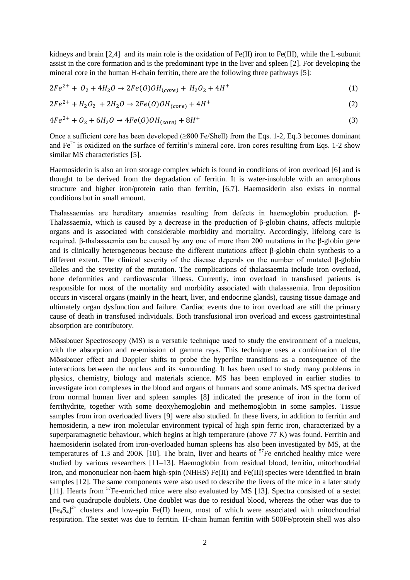kidneys and brain  $[2,4]$  and its main role is the oxidation of Fe(II) iron to Fe(III), while the L-subunit assist in the core formation and is the predominant type in the liver and spleen [2]. For developing the mineral core in the human H-chain ferritin, there are the following three pathways [5]:

$$
2Fe^{2+} + O_2 + 4H_2O \rightarrow 2Fe(O)OH_{(core)} + H_2O_2 + 4H^+ \tag{1}
$$

$$
2Fe^{2+} + H_2O_2 + 2H_2O \rightarrow 2Fe(O)OH_{(core)} + 4H^+ \tag{2}
$$

$$
4Fe^{2+} + O_2 + 6H_2O \rightarrow 4Fe(O)OH_{(core)} + 8H^+ \tag{3}
$$

Once a sufficient core has been developed (≥800 Fe/Shell) from the Eqs. 1-2, Eq.3 becomes dominant and  $Fe<sup>2+</sup>$  is oxidized on the surface of ferritin's mineral core. Iron cores resulting from Eqs. 1-2 show similar MS characteristics [5].

Haemosiderin is also an iron storage complex which is found in conditions of iron overload [6] and is thought to be derived from the degradation of ferritin. It is water-insoluble with an amorphous structure and higher iron/protein ratio than ferritin, [6,7]. Haemosiderin also exists in normal conditions but in small amount.

Thalassaemias are hereditary anaemias resulting from defects in haemoglobin production. β-Thalassaemia, which is caused by a decrease in the production of β-globin chains, affects multiple organs and is associated with considerable morbidity and mortality. Accordingly, lifelong care is required. β-thalassaemia can be caused by any one of more than 200 mutations in the β-globin gene and is clinically heterogeneous because the different mutations affect  $\beta$ -globin chain synthesis to a different extent. The clinical severity of the disease depends on the number of mutated β-globin alleles and the severity of the mutation. The complications of thalassaemia include iron overload, bone deformities and cardiovascular illness. Currently, iron overload in transfused patients is responsible for most of the mortality and morbidity associated with thalassaemia. Iron deposition occurs in visceral organs (mainly in the heart, liver, and endocrine glands), causing tissue damage and ultimately organ dysfunction and failure. Cardiac events due to iron overload are still the primary cause of death in transfused individuals. Both transfusional iron overload and excess gastrointestinal absorption are contributory.

Mössbauer Spectroscopy (MS) is a versatile technique used to study the environment of a nucleus, with the absorption and re-emission of gamma rays. This technique uses a combination of the Mössbauer effect and Doppler shifts to probe the hyperfine transitions as a consequence of the interactions between the nucleus and its surrounding. It has been used to study many problems in physics, chemistry, biology and materials science. MS has been employed in earlier studies to investigate iron complexes in the blood and organs of humans and some animals. MS spectra derived from normal human liver and spleen samples [8] indicated the presence of iron in the form of ferrihydrite, together with some deoxyhemoglobin and methemoglobin in some samples. Tissue samples from iron overloaded livers [9] were also studied. In these livers, in addition to ferritin and hemosiderin, a new iron molecular environment typical of high spin ferric iron, characterized by a superparamagnetic behaviour, which begins at high temperature (above 77 K) was found. Ferritin and haemosiderin isolated from iron-overloaded human spleens has also been investigated by MS, at the temperatures of 1.3 and 200K  $\lceil 10 \rceil$ . The brain, liver and hearts of  $\frac{57}{10}$  enriched healthy mice were studied by various researchers [11–13]. Haemoglobin from residual blood, ferritin, mitochondrial iron, and mononuclear non-haem high-spin (NHHS) Fe(II) and Fe(III) species were identified in brain samples [12]. The same components were also used to describe the livers of the mice in a later study [11]. Hearts from <sup>57</sup>Fe-enriched mice were also evaluated by MS [13]. Spectra consisted of a sextet and two quadrupole doublets. One doublet was due to residual blood, whereas the other was due to  $[Fe_4S_4]^{2+}$  clusters and low-spin Fe(II) haem, most of which were associated with mitochondrial respiration. The sextet was due to ferritin. H-chain human ferritin with 500Fe/protein shell was also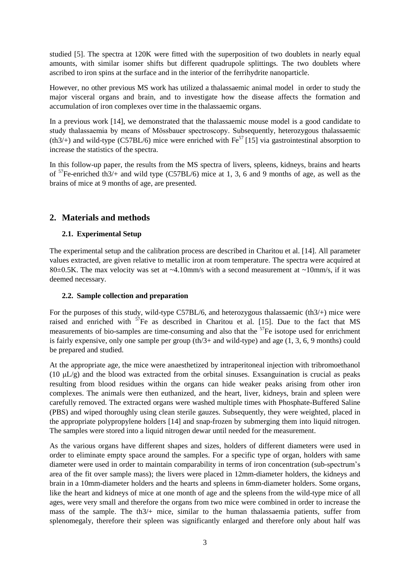studied [5]. The spectra at 120K were fitted with the superposition of two doublets in nearly equal amounts, with similar isomer shifts but different quadrupole splittings. The two doublets where ascribed to iron spins at the surface and in the interior of the ferrihydrite nanoparticle.

However, no other previous MS work has utilized a thalassaemic animal model in order to study the major visceral organs and brain, and to investigate how the disease affects the formation and accumulation of iron complexes over time in the thalassaemic organs.

In a previous work [14], we demonstrated that the thalassaemic mouse model is a good candidate to study thalassaemia by means of Mössbauer spectroscopy. Subsequently, heterozygous thalassaemic (th3/+) and wild-type (C57BL/6) mice were enriched with  $Fe^{57}$  [15] via gastrointestinal absorption to increase the statistics of the spectra.

In this follow-up paper, the results from the MS spectra of livers, spleens, kidneys, brains and hearts of  ${}^{57}$ Fe-enriched th3/+ and wild type (C57BL/6) mice at 1, 3, 6 and 9 months of age, as well as the brains of mice at 9 months of age, are presented.

# **2. Materials and methods**

# **2.1. Experimental Setup**

The experimental setup and the calibration process are described in Charitou et al. [14]. All parameter values extracted, are given relative to metallic iron at room temperature. The spectra were acquired at 80 $\pm$ 0.5K. The max velocity was set at ~4.10mm/s with a second measurement at ~10mm/s, if it was deemed necessary.

# **2.2. Sample collection and preparation**

For the purposes of this study, wild-type C57BL/6, and heterozygous thalassaemic (th3/+) mice were raised and enriched with  $57$ Fe as described in Charitou et al. [15]. Due to the fact that MS measurements of bio-samples are time-consuming and also that the  $57$ Fe isotope used for enrichment is fairly expensive, only one sample per group (th/3+ and wild-type) and age (1, 3, 6, 9 months) could be prepared and studied.

At the appropriate age, the mice were anaesthetized by intraperitoneal injection with tribromoethanol (10 μL/g) and the blood was extracted from the orbital sinuses. Exsanguination is crucial as peaks resulting from blood residues within the organs can hide weaker peaks arising from other iron complexes. The animals were then euthanized, and the heart, liver, kidneys, brain and spleen were carefully removed. The extracted organs were washed multiple times with Phosphate-Buffered Saline (PBS) and wiped thoroughly using clean sterile gauzes. Subsequently, they were weighted, placed in the appropriate polypropylene holders [14] and snap-frozen by submerging them into liquid nitrogen. The samples were stored into a liquid nitrogen dewar until needed for the measurement.

As the various organs have different shapes and sizes, holders of different diameters were used in order to eliminate empty space around the samples. For a specific type of organ, holders with same diameter were used in order to maintain comparability in terms of iron concentration (sub-spectrum's area of the fit over sample mass); the livers were placed in 12mm-diameter holders, the kidneys and brain in a 10mm-diameter holders and the hearts and spleens in 6mm-diameter holders. Some organs, like the heart and kidneys of mice at one month of age and the spleens from the wild-type mice of all ages, were very small and therefore the organs from two mice were combined in order to increase the mass of the sample. The th3/+ mice, similar to the human thalassaemia patients, suffer from splenomegaly, therefore their spleen was significantly enlarged and therefore only about half was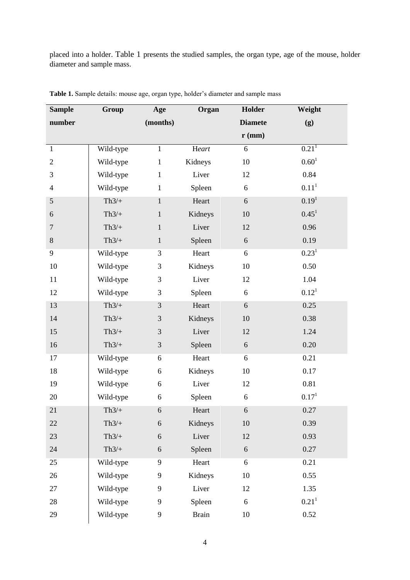placed into a holder. Table 1 presents the studied samples, the organ type, age of the mouse, holder diameter and sample mass.

| <b>Sample</b>    | Group     | Age            | Organ        | Holder            | Weight              |
|------------------|-----------|----------------|--------------|-------------------|---------------------|
| number           |           | (months)       |              | <b>Diamete</b>    | (g)                 |
|                  |           |                |              | $\mathbf{r}$ (mm) |                     |
| $\mathbf{1}$     | Wild-type | $\mathbf{1}$   | Heart        | 6                 | $0.21$ <sup>1</sup> |
| $\mathbf{2}$     | Wild-type | $\mathbf{1}$   | Kidneys      | $10\,$            | $0.60^{1}$          |
| 3                | Wild-type | $\mathbf{1}$   | Liver        | 12                | 0.84                |
| $\overline{4}$   | Wild-type | $\mathbf{1}$   | Spleen       | 6                 | 0.11 <sup>1</sup>   |
| 5                | $Th3/+$   | $\mathbf{1}$   | Heart        | 6                 | 0.19 <sup>1</sup>   |
| 6                | $Th3/+$   | $\mathbf{1}$   | Kidneys      | 10                | $0.45^1$            |
| $\boldsymbol{7}$ | $Th3/+$   | $\mathbf{1}$   | Liver        | 12                | 0.96                |
| 8                | $Th3/+$   | $\mathbf{1}$   | Spleen       | 6                 | 0.19                |
| 9                | Wild-type | 3              | Heart        | 6                 | $0.23^{1}$          |
| 10               | Wild-type | 3              | Kidneys      | 10                | 0.50                |
| 11               | Wild-type | $\mathfrak{Z}$ | Liver        | 12                | 1.04                |
| 12               | Wild-type | 3              | Spleen       | 6                 | $0.12^{1}$          |
| 13               | $Th3/+$   | $\mathfrak{Z}$ | Heart        | 6                 | 0.25                |
| 14               | $Th3/+$   | $\mathfrak{Z}$ | Kidneys      | 10                | 0.38                |
| 15               | $Th3/+$   | $\mathfrak{Z}$ | Liver        | 12                | 1.24                |
| 16               | $Th3/+$   | $\mathfrak{Z}$ | Spleen       | 6                 | 0.20                |
| 17               | Wild-type | 6              | Heart        | 6                 | 0.21                |
| 18               | Wild-type | 6              | Kidneys      | 10                | 0.17                |
| 19               | Wild-type | $6\,$          | Liver        | 12                | 0.81                |
| 20               | Wild-type | 6              | Spleen       | 6                 | 0.17 <sup>1</sup>   |
| 21               | $Th3/+$   | 6              | Heart        | 6                 | 0.27                |
| 22               | $Th3/+$   | $\sqrt{6}$     | Kidneys      | 10                | 0.39                |
| 23               | $Th3/+$   | 6              | Liver        | 12                | 0.93                |
| 24               | $Th3/+$   | $\sqrt{6}$     | Spleen       | 6                 | 0.27                |
| 25               | Wild-type | 9              | Heart        | 6                 | 0.21                |
| 26               | Wild-type | 9              | Kidneys      | 10                | 0.55                |
| 27               | Wild-type | 9              | Liver        | 12                | 1.35                |
| 28               | Wild-type | 9              | Spleen       | 6                 | 0.21 <sup>1</sup>   |
| 29               | Wild-type | 9              | <b>Brain</b> | $10\,$            | 0.52                |

**Table 1.** Sample details: mouse age, organ type, holder's diameter and sample mass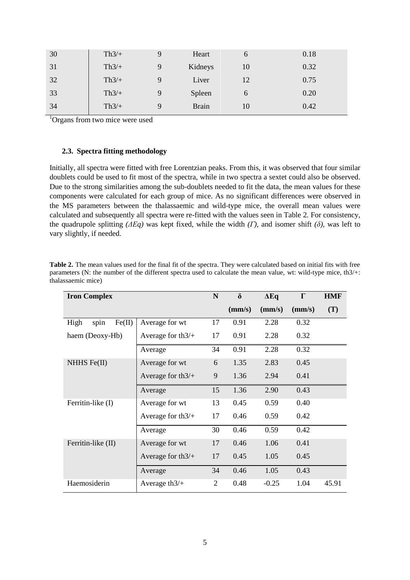| 30 | $Th3/+$ | Q | Heart        | <sub>0</sub> | 0.18 |
|----|---------|---|--------------|--------------|------|
| 31 | $Th3/+$ | 9 | Kidneys      | 10           | 0.32 |
| 32 | $Th3/+$ |   | Liver        | 12           | 0.75 |
| 33 | $Th3/+$ | Q | Spleen       | 6            | 0.20 |
| 34 | $Th3/+$ | Q | <b>Brain</b> | 10           | 0.42 |
|    |         |   |              |              |      |

<sup>1</sup>Organs from two mice were used

### **2.3. Spectra fitting methodology**

Initially, all spectra were fitted with free Lorentzian peaks. From this, it was observed that four similar doublets could be used to fit most of the spectra, while in two spectra a sextet could also be observed. Due to the strong similarities among the sub-doublets needed to fit the data, the mean values for these components were calculated for each group of mice. As no significant differences were observed in the MS parameters between the thalassaemic and wild-type mice, the overall mean values were calculated and subsequently all spectra were re-fitted with the values seen in Table 2*.* For consistency, the quadrupole splitting  $(\Delta Eq)$  was kept fixed, while the width  $(\Gamma)$ , and isomer shift  $(\delta)$ , was left to vary slightly, if needed.

| <b>Iron Complex</b>    |                     |    | $\delta$ | $\Delta$ Eq | $\Gamma$ | <b>HMF</b> |
|------------------------|---------------------|----|----------|-------------|----------|------------|
|                        |                     |    | (mm/s)   | (mm/s)      | (mm/s)   | (T)        |
| Fe(II)<br>High<br>spin | Average for wt      | 17 | 0.91     | 2.28        | 0.32     |            |
| haem (Deoxy-Hb)        | Average for $th3/+$ | 17 | 0.91     | 2.28        | 0.32     |            |
|                        | Average             | 34 | 0.91     | 2.28        | 0.32     |            |
| NHHS Fe(II)            | Average for wt      | 6  | 1.35     | 2.83        | 0.45     |            |
|                        | Average for $th3/+$ | 9  | 1.36     | 2.94        | 0.41     |            |
|                        | Average             | 15 | 1.36     | 2.90        | 0.43     |            |
| Ferritin-like (I)      | Average for wt      | 13 | 0.45     | 0.59        | 0.40     |            |
|                        | Average for $th3/+$ | 17 | 0.46     | 0.59        | 0.42     |            |
|                        | Average             | 30 | 0.46     | 0.59        | 0.42     |            |
| Ferritin-like (II)     | Average for wt      | 17 | 0.46     | 1.06        | 0.41     |            |
|                        | Average for $th3/+$ | 17 | 0.45     | 1.05        | 0.45     |            |
|                        | Average             | 34 | 0.46     | 1.05        | 0.43     |            |
| Haemosiderin           | Average th $3/+$    | 2  | 0.48     | $-0.25$     | 1.04     | 45.91      |

**Table 2.** The mean values used for the final fit of the spectra. They were calculated based on initial fits with free parameters (N: the number of the different spectra used to calculate the mean value, wt: wild-type mice, th3/+: thalassaemic mice)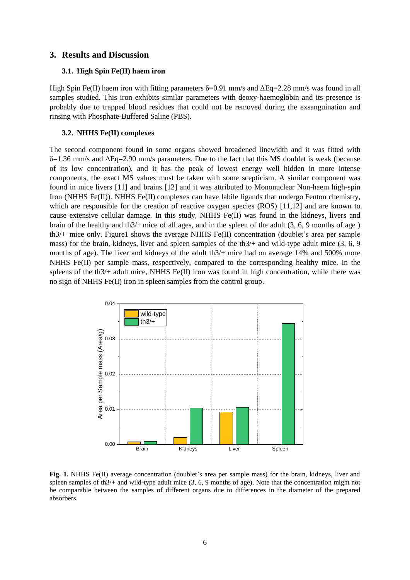## **3. Results and Discussion**

#### **3.1. High Spin Fe(II) haem iron**

High Spin Fe(II) haem iron with fitting parameters  $\delta = 0.91$  mm/s and  $\Delta$ Eq=2.28 mm/s was found in all samples studied. This iron exhibits similar parameters with deoxy-haemoglobin and its presence is probably due to trapped blood residues that could not be removed during the exsanguination and rinsing with Phosphate-Buffered Saline (PBS).

#### **3.2. NHHS Fe(II) complexes**

The second component found in some organs showed broadened linewidth and it was fitted with  $\delta$ =1.36 mm/s and  $\Delta$ Eq=2.90 mm/s parameters. Due to the fact that this MS doublet is weak (because of its low concentration), and it has the peak of lowest energy well hidden in more intense components, the exact MS values must be taken with some scepticism. A similar component was found in mice livers [11] and brains [12] and it was attributed to Mononuclear Non-haem high-spin Iron (NHHS Fe(II)). NHHS Fe(II) complexes can have labile ligands that undergo Fenton chemistry, which are responsible for the creation of reactive oxygen species (ROS) [11,12] and are known to cause extensive cellular damage. In this study, NHHS Fe(II) was found in the kidneys, livers and brain of the healthy and th3/+ mice of all ages, and in the spleen of the adult (3, 6, 9 months of age ) th3/+ mice only. Figure1 shows the average NHHS Fe(II) concentration (doublet's area per sample mass) for the brain, kidneys, liver and spleen samples of the th3/+ and wild-type adult mice (3, 6, 9 months of age). The liver and kidneys of the adult th $3/+$  mice had on average 14% and 500% more NHHS Fe(II) per sample mass, respectively, compared to the corresponding healthy mice. In the spleens of the th $3/$ + adult mice, NHHS Fe(II) iron was found in high concentration, while there was no sign of NHHS Fe(II) iron in spleen samples from the control group.



Fig. 1. NHHS Fe(II) average concentration (doublet's area per sample mass) for the brain, kidneys, liver and spleen samples of th3/+ and wild-type adult mice (3, 6, 9 months of age). Note that the concentration might not be comparable between the samples of different organs due to differences in the diameter of the prepared absorbers.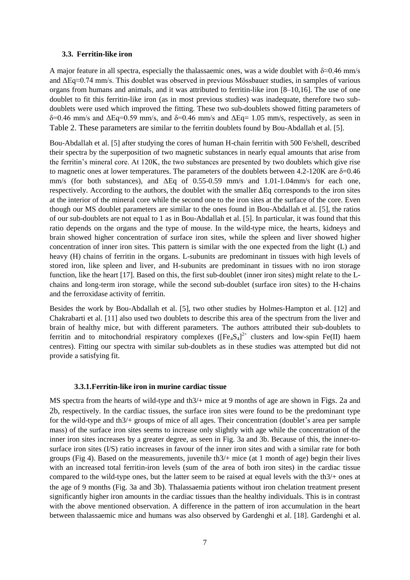#### **3.3. Ferritin-like iron**

A major feature in all spectra, especially the thalassaemic ones, was a wide doublet with  $\delta \approx 0.46$  mm/s and ΔΕq≈0.74 mm/s. This doublet was observed in previous Mössbauer studies, in samples of various organs from humans and animals, and it was attributed to ferritin-like iron [8–10,16]. The use of one doublet to fit this ferritin-like iron (as in most previous studies) was inadequate, therefore two subdoublets were used which improved the fitting. These two sub-doublets showed fitting parameters of  $δ=0.46$  mm/s and  $ΔEq=0.59$  mm/s, and  $δ=0.46$  mm/s and  $ΔEq=1.05$  mm/s, respectively, as seen in Table 2. These parameters are similar to the ferritin doublets found by Bou-Abdallah et al. [5].

Bou-Abdallah et al. [5] after studying the cores of human H-chain ferritin with 500 Fe/shell, described their spectra by the superposition of two magnetic substances in nearly equal amounts that arise from the ferritin's mineral core. At 120K, the two substances are presented by two doublets which give rise to magnetic ones at lower temperatures. The parameters of the doublets between 4.2-120K are δ=0.46 mm/s (for both substances), and ΔEq of 0.55-0.59 mm/s and 1.01-1.04mm/s for each one, respectively. According to the authors, the doublet with the smaller ΔEq corresponds to the iron sites at the interior of the mineral core while the second one to the iron sites at the surface of the core. Even though our MS doublet parameters are similar to the ones found in Bou-Abdallah et al. [5], the ratios of our sub-doublets are not equal to 1 as in Bou-Abdallah et al. [5]. In particular, it was found that this ratio depends on the organs and the type of mouse. In the wild-type mice, the hearts, kidneys and brain showed higher concentration of surface iron sites, while the spleen and liver showed higher concentration of inner iron sites. This pattern is similar with the one expected from the light (L) and heavy (H) chains of ferritin in the organs. L-subunits are predominant in tissues with high levels of stored iron, like spleen and liver, and H-subunits are predominant in tissues with no iron storage function, like the heart [17]. Based on this, the first sub-doublet (inner iron sites) might relate to the Lchains and long-term iron storage, while the second sub-doublet (surface iron sites) to the H-chains and the ferroxidase activity of ferritin.

Besides the work by Bou-Abdallah et al. [5], two other studies by Holmes-Hampton et al. [12] and Chakrabarti et al. [11] also used two doublets to describe this area of the spectrum from the liver and brain of healthy mice, but with different parameters. The authors attributed their sub-doublets to ferritin and to mitochondrial respiratory complexes  $([Fe_4S_4]^{2+}$  clusters and low-spin Fe(II) haem centres). Fitting our spectra with similar sub-doublets as in these studies was attempted but did not provide a satisfying fit.

#### **3.3.1.Ferritin-like iron in murine cardiac tissue**

MS spectra from the hearts of wild-type and th3/+ mice at 9 months of age are shown in Figs. 2a and 2b, respectively. In the cardiac tissues, the surface iron sites were found to be the predominant type for the wild-type and th3/+ groups of mice of all ages. Their concentration (doublet's area per sample mass) of the surface iron sites seems to increase only slightly with age while the concentration of the inner iron sites increases by a greater degree, as seen in Fig. 3a and 3b. Because of this, the inner-tosurface iron sites (I/S) ratio increases in favour of the inner iron sites and with a similar rate for both groups (Fig 4). Based on the measurements, juvenile th3/+ mice (at 1 month of age) begin their lives with an increased total ferritin-iron levels (sum of the area of both iron sites) in the cardiac tissue compared to the wild-type ones, but the latter seem to be raised at equal levels with the th3/+ ones at the age of 9 months (Fig. 3a and 3b). Thalassaemia patients without iron chelation treatment present significantly higher iron amounts in the cardiac tissues than the healthy individuals. This is in contrast with the above mentioned observation. A difference in the pattern of iron accumulation in the heart between thalassaemic mice and humans was also observed by Gardenghi et al. [18]. Gardenghi et al.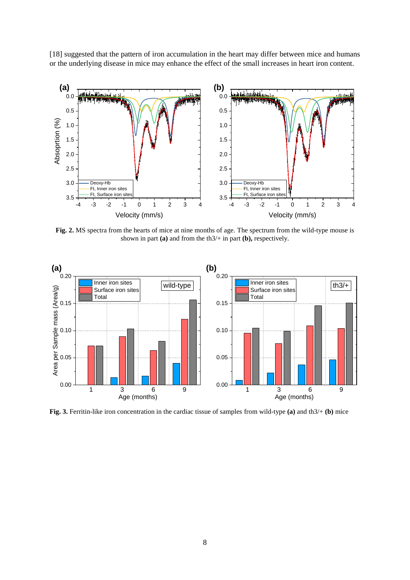[18] suggested that the pattern of iron accumulation in the heart may differ between mice and humans or the underlying disease in mice may enhance the effect of the small increases in heart iron content.



**Fig. 2.** MS spectra from the hearts of mice at nine months of age. The spectrum from the wild-type mouse is shown in part **(a)** and from the th3/+ in part **(b),** respectively.



**Fig. 3.** Ferritin-like iron concentration in the cardiac tissue of samples from wild-type **(a)** and th3/+ **(b)** mice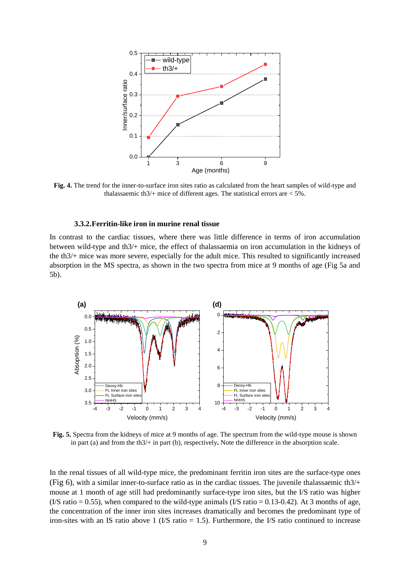

**Fig. 4.** The trend for the inner-to-surface iron sites ratio as calculated from the heart samples of wild-type and thalassaemic th $3/$ + mice of different ages. The statistical errors are  $<$  5%.

### **3.3.2.Ferritin-like iron in murine renal tissue**

In contrast to the cardiac tissues, where there was little difference in terms of iron accumulation between wild-type and th3/+ mice, the effect of thalassaemia on iron accumulation in the kidneys of the th3/+ mice was more severe, especially for the adult mice. This resulted to significantly increased absorption in the MS spectra, as shown in the two spectra from mice at 9 months of age (Fig 5a and 5b).



**Fig. 5.** Spectra from the kidneys of mice at 9 months of age. The spectrum from the wild-type mouse is shown in part (a) and from the th3/+ in part (b), respectively**.** Note the difference in the absorption scale.

In the renal tissues of all wild-type mice, the predominant ferritin iron sites are the surface-type ones (Fig 6), with a similar inner-to-surface ratio as in the cardiac tissues. The juvenile thalassaemic th $3/+$ mouse at 1 month of age still had predominantly surface-type iron sites, but the I/S ratio was higher  $(1/S \text{ ratio} = 0.55)$ , when compared to the wild-type animals  $(1/S \text{ ratio} = 0.13{\text -}0.42)$ . At 3 months of age, the concentration of the inner iron sites increases dramatically and becomes the predominant type of iron-sites with an IS ratio above 1 (I/S ratio  $= 1.5$ ). Furthermore, the I/S ratio continued to increase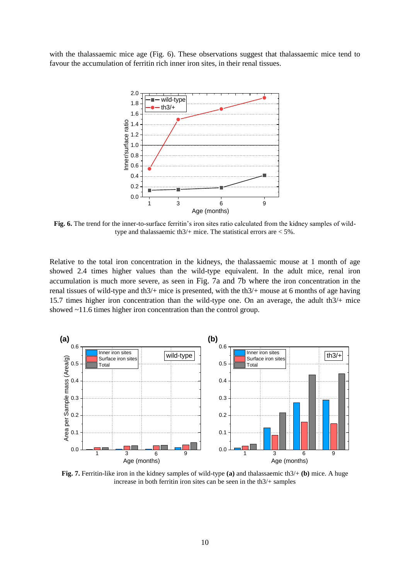with the thalassaemic mice age (Fig. 6). These observations suggest that thalassaemic mice tend to favour the accumulation of ferritin rich inner iron sites, in their renal tissues.



**Fig. 6.** The trend for the inner-to-surface ferritin's iron sites ratio calculated from the kidney samples of wildtype and thalassaemic th $3/$ + mice. The statistical errors are  $\lt 5\%$ .

Relative to the total iron concentration in the kidneys, the thalassaemic mouse at 1 month of age showed 2.4 times higher values than the wild-type equivalent. In the adult mice, renal iron accumulation is much more severe, as seen in Fig. 7a and 7b where the iron concentration in the renal tissues of wild-type and th3/+ mice is presented, with the th3/+ mouse at 6 months of age having 15.7 times higher iron concentration than the wild-type one. On an average, the adult th3/+ mice showed ~11.6 times higher iron concentration than the control group.



**Fig. 7.** Ferritin-like iron in the kidney samples of wild-type **(a)** and thalassaemic th3/+ **(b)** mice. A huge increase in both ferritin iron sites can be seen in the th3/+ samples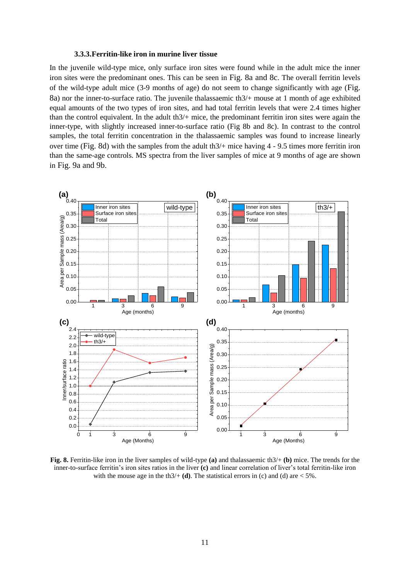#### **3.3.3.Ferritin-like iron in murine liver tissue**

In the juvenile wild-type mice, only surface iron sites were found while in the adult mice the inner iron sites were the predominant ones. This can be seen in Fig. 8a and 8c. The overall ferritin levels of the wild-type adult mice (3-9 months of age) do not seem to change significantly with age (Fig. 8a) nor the inner-to-surface ratio. The juvenile thalassaemic th3/+ mouse at 1 month of age exhibited equal amounts of the two types of iron sites, and had total ferritin levels that were 2.4 times higher than the control equivalent. In the adult th $3/$ + mice, the predominant ferritin iron sites were again the inner-type, with slightly increased inner-to-surface ratio (Fig 8b and 8c). In contrast to the control samples, the total ferritin concentration in the thalassaemic samples was found to increase linearly over time (Fig. 8d) with the samples from the adult th3/+ mice having 4 - 9.5 times more ferritin iron than the same-age controls. MS spectra from the liver samples of mice at 9 months of age are shown in Fig. 9a and 9b.



**Fig. 8.** Ferritin-like iron in the liver samples of wild-type **(a)** and thalassaemic th3/+ **(b)** mice. The trends for the inner-to-surface ferritin's iron sites ratios in the liver **(c)** and linear correlation of liver's total ferritin-like iron with the mouse age in the th $3/+$  **(d)**. The statistical errors in (c) and (d) are  $\lt 5\%$ .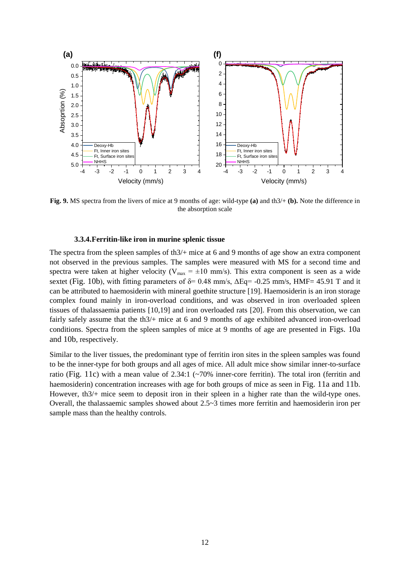

**Fig. 9.** MS spectra from the livers of mice at 9 months of age: wild-type **(a)** and th3/+ **(b).** Note the difference in the absorption scale

#### **3.3.4.Ferritin-like iron in murine splenic tissue**

The spectra from the spleen samples of th3/+ mice at 6 and 9 months of age show an extra component not observed in the previous samples. The samples were measured with MS for a second time and spectra were taken at higher velocity ( $V_{max} = \pm 10$  mm/s). This extra component is seen as a wide sextet (Fig. 10b), with fitting parameters of  $\delta$  = 0.48 mm/s,  $\Delta$ Eq = -0.25 mm/s, HMF = 45.91 T and it can be attributed to haemosiderin with mineral goethite structure [19]. Haemosiderin is an iron storage complex found mainly in iron-overload conditions, and was observed in iron overloaded spleen tissues of thalassaemia patients [10,19] and iron overloaded rats [20]. From this observation, we can fairly safely assume that the th3/+ mice at 6 and 9 months of age exhibited advanced iron-overload conditions. Spectra from the spleen samples of mice at 9 months of age are presented in Figs. 10a and 10b, respectively.

Similar to the liver tissues, the predominant type of ferritin iron sites in the spleen samples was found to be the inner-type for both groups and all ages of mice. All adult mice show similar inner-to-surface ratio (Fig. 11c) with a mean value of 2.34:1 (~70% inner-core ferritin). The total iron (ferritin and haemosiderin) concentration increases with age for both groups of mice as seen in Fig. 11a and 11b. However, th3/+ mice seem to deposit iron in their spleen in a higher rate than the wild-type ones. Overall, the thalassaemic samples showed about  $2.5~\sim$  3 times more ferritin and haemosiderin iron per sample mass than the healthy controls.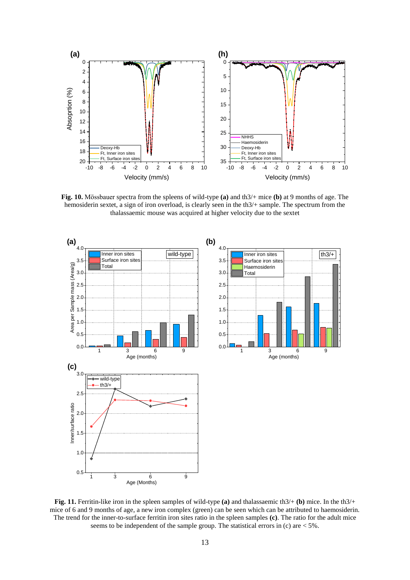

**Fig. 10.** Mössbauer spectra from the spleens of wild-type **(a)** and th3/+ mice **(b)** at 9 months of age. The hemosiderin sextet, a sign of iron overload, is clearly seen in the th3/+ sample. The spectrum from the thalassaemic mouse was acquired at higher velocity due to the sextet



**Fig. 11.** Ferritin-like iron in the spleen samples of wild-type **(a)** and thalassaemic th3/+ **(b)** mice. In the th3/+ mice of 6 and 9 months of age, a new iron complex (green) can be seen which can be attributed to haemosiderin. The trend for the inner-to-surface ferritin iron sites ratio in the spleen samples **(c)**. The ratio for the adult mice seems to be independent of the sample group. The statistical errors in (c) are  $<$  5%.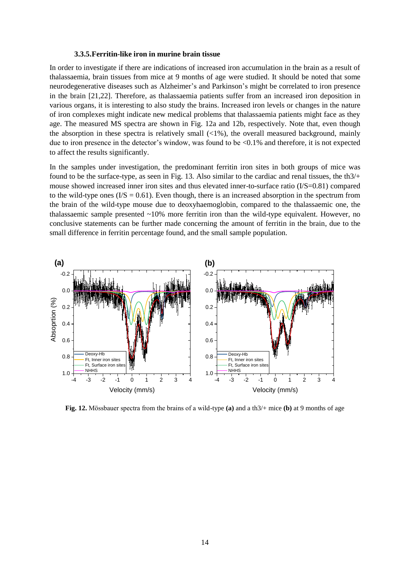#### **3.3.5.Ferritin-like iron in murine brain tissue**

In order to investigate if there are indications of increased iron accumulation in the brain as a result of thalassaemia, brain tissues from mice at 9 months of age were studied. It should be noted that some neurodegenerative diseases such as Alzheimer's and Parkinson's might be correlated to iron presence in the brain [21,22]. Therefore, as thalassaemia patients suffer from an increased iron deposition in various organs, it is interesting to also study the brains. Increased iron levels or changes in the nature of iron complexes might indicate new medical problems that thalassaemia patients might face as they age. The measured MS spectra are shown in Fig. 12a and 12b, respectively. Note that, even though the absorption in these spectra is relatively small  $\langle 1\% \rangle$ , the overall measured background, mainly due to iron presence in the detector's window, was found to be <0.1% and therefore, it is not expected to affect the results significantly.

In the samples under investigation, the predominant ferritin iron sites in both groups of mice was found to be the surface-type, as seen in Fig. 13*.* Also similar to the cardiac and renal tissues, the th3/+ mouse showed increased inner iron sites and thus elevated inner-to-surface ratio (I/S=0.81) compared to the wild-type ones  $(1/S = 0.61)$ . Even though, there is an increased absorption in the spectrum from the brain of the wild-type mouse due to deoxyhaemoglobin, compared to the thalassaemic one, the thalassaemic sample presented ~10% more ferritin iron than the wild-type equivalent. However, no conclusive statements can be further made concerning the amount of ferritin in the brain, due to the small difference in ferritin percentage found, and the small sample population.



**Fig. 12.** Mössbauer spectra from the brains of a wild-type **(a)** and a th3/+ mice **(b)** at 9 months of age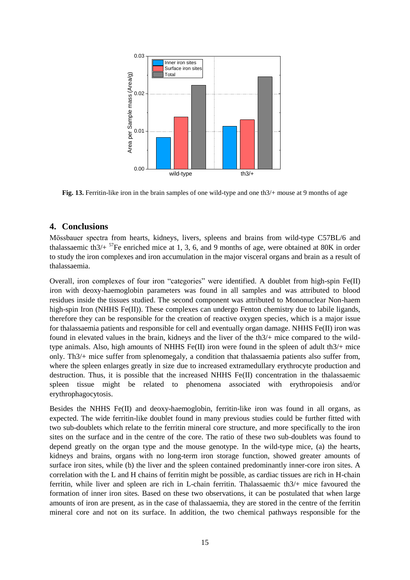

**Fig. 13.** Ferritin-like iron in the brain samples of one wild-type and one th $3/$ + mouse at 9 months of age

# **4. Conclusions**

Mössbauer spectra from hearts, kidneys, livers, spleens and brains from wild-type C57BL/6 and thalassaemic th $3/4$ <sup>57</sup>Fe enriched mice at 1, 3, 6, and 9 months of age, were obtained at 80K in order to study the iron complexes and iron accumulation in the major visceral organs and brain as a result of thalassaemia.

Overall, iron complexes of four iron "categories" were identified. A doublet from high-spin Fe(II) iron with deoxy-haemoglobin parameters was found in all samples and was attributed to blood residues inside the tissues studied. The second component was attributed to Mononuclear Non-haem high-spin Iron (NHHS Fe(II)). These complexes can undergo Fenton chemistry due to labile ligands, therefore they can be responsible for the creation of reactive oxygen species, which is a major issue for thalassaemia patients and responsible for cell and eventually organ damage. NHHS Fe(II) iron was found in elevated values in the brain, kidneys and the liver of the th3/+ mice compared to the wildtype animals. Also, high amounts of NHHS Fe(II) iron were found in the spleen of adult th3/+ mice only. Th3/+ mice suffer from splenomegaly, a condition that thalassaemia patients also suffer from, where the spleen enlarges greatly in size due to increased extramedullary erythrocyte production and destruction. Thus, it is possible that the increased NHHS Fe(II) concentration in the thalassaemic spleen tissue might be related to phenomena associated with erythropoiesis and/or erythrophagocytosis.

Besides the NHHS Fe(II) and deoxy-haemoglobin, ferritin-like iron was found in all organs, as expected. The wide ferritin-like doublet found in many previous studies could be further fitted with two sub-doublets which relate to the ferritin mineral core structure, and more specifically to the iron sites on the surface and in the centre of the core. The ratio of these two sub-doublets was found to depend greatly on the organ type and the mouse genotype. In the wild-type mice, (a) the hearts, kidneys and brains, organs with no long-term iron storage function, showed greater amounts of surface iron sites, while (b) the liver and the spleen contained predominantly inner-core iron sites. A correlation with the L and H chains of ferritin might be possible, as cardiac tissues are rich in H-chain ferritin, while liver and spleen are rich in L-chain ferritin. Thalassaemic th3/+ mice favoured the formation of inner iron sites. Based on these two observations, it can be postulated that when large amounts of iron are present, as in the case of thalassaemia, they are stored in the centre of the ferritin mineral core and not on its surface. In addition, the two chemical pathways responsible for the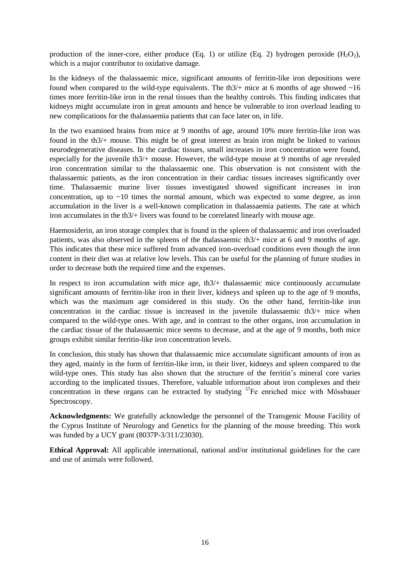production of the inner-core, either produce (Eq. 1) or utilize (Eq. 2) hydrogen peroxide (H<sub>2</sub>O<sub>2</sub>), which is a major contributor to oxidative damage.

In the kidneys of the thalassaemic mice, significant amounts of ferritin-like iron depositions were found when compared to the wild-type equivalents. The th $3/+$  mice at 6 months of age showed  $\sim 16$ times more ferritin-like iron in the renal tissues than the healthy controls. This finding indicates that kidneys might accumulate iron in great amounts and hence be vulnerable to iron overload leading to new complications for the thalassaemia patients that can face later on, in life.

In the two examined brains from mice at 9 months of age, around 10% more ferritin-like iron was found in the th3/+ mouse. This might be of great interest as brain iron might be linked to various neurodegenerative diseases. In the cardiac tissues, small increases in iron concentration were found, especially for the juvenile th3/+ mouse. However, the wild-type mouse at 9 months of age revealed iron concentration similar to the thalassaemic one. This observation is not consistent with the thalassaemic patients, as the iron concentration in their cardiac tissues increases significantly over time. Thalassaemic murine liver tissues investigated showed significant increases in iron concentration, up to  $\sim$ 10 times the normal amount, which was expected to some degree, as iron accumulation in the liver is a well-known complication in thalassaemia patients. The rate at which iron accumulates in the th3/+ livers was found to be correlated linearly with mouse age.

Haemosiderin, an iron storage complex that is found in the spleen of thalassaemic and iron overloaded patients, was also observed in the spleens of the thalassaemic th3/+ mice at 6 and 9 months of age. This indicates that these mice suffered from advanced iron-overload conditions even though the iron content in their diet was at relative low levels. This can be useful for the planning of future studies in order to decrease both the required time and the expenses.

In respect to iron accumulation with mice age, th3/+ thalassaemic mice continuously accumulate significant amounts of ferritin-like iron in their liver, kidneys and spleen up to the age of 9 months, which was the maximum age considered in this study. On the other hand, ferritin-like iron concentration in the cardiac tissue is increased in the juvenile thalassaemic th3/+ mice when compared to the wild-type ones. With age, and in contrast to the other organs, iron accumulation in the cardiac tissue of the thalassaemic mice seems to decrease, and at the age of 9 months, both mice groups exhibit similar ferritin-like iron concentration levels.

In conclusion, this study has shown that thalassaemic mice accumulate significant amounts of iron as they aged, mainly in the form of ferritin-like iron, in their liver, kidneys and spleen compared to the wild-type ones. This study has also shown that the structure of the ferritin's mineral core varies according to the implicated tissues. Therefore, valuable information about iron complexes and their concentration in these organs can be extracted by studying  $57Fe$  enriched mice with Mössbauer Spectroscopy.

**Acknowledgments:** We gratefully acknowledge the personnel of the Transgenic Mouse Facility of the Cyprus Institute of Neurology and Genetics for the planning of the mouse breeding. This work was funded by a UCY grant (8037P-3/311/23030).

**Ethical Approval:** All applicable international, national and/or institutional guidelines for the care and use of animals were followed.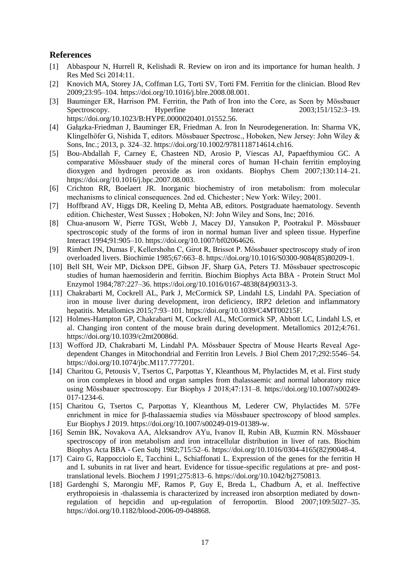# **References**

- [1] Abbaspour N, Hurrell R, Kelishadi R. Review on iron and its importance for human health. J Res Med Sci 2014:11.
- [2] Knovich MA, Storey JA, Coffman LG, Torti SV, Torti FM. Ferritin for the clinician. Blood Rev 2009;23:95–104. https://doi.org/10.1016/j.blre.2008.08.001.
- [3] Bauminger ER, Harrison PM. Ferritin, the Path of Iron into the Core, as Seen by Mössbauer Spectroscopy. Hyperfine Interact 2003;151/152:3–19. https://doi.org/10.1023/B:HYPE.0000020401.01552.56.
- [4] Gałązka-Friedman J, Bauminger ER, Friedman A. Iron In Neurodegeneration. In: Sharma VK, Klingelhöfer G, Nishida T, editors. Mössbauer Spectrosc., Hoboken, New Jersey: John Wiley & Sons, Inc.; 2013, p. 324–32. https://doi.org/10.1002/9781118714614.ch16.
- [5] Bou-Abdallah F, Carney E, Chasteen ND, Arosio P, Viescas AJ, Papaefthymiou GC. A comparative Mössbauer study of the mineral cores of human H-chain ferritin employing dioxygen and hydrogen peroxide as iron oxidants. Biophys Chem 2007;130:114–21. https://doi.org/10.1016/j.bpc.2007.08.003.
- [6] Crichton RR, Boelaert JR. Inorganic biochemistry of iron metabolism: from molecular mechanisms to clinical consequences. 2nd ed. Chichester ; New York: Wiley; 2001.
- [7] Hoffbrand AV, Higgs DR, Keeling D, Mehta AB, editors. Postgraduate haematology. Seventh edition. Chichester, West Sussex ; Hoboken, NJ: John Wiley and Sons, Inc; 2016.
- [8] Chua-anusorn W, Pierre TGSt, Webb J, Macey DJ, Yansukon P, Pootrakul P. Mössbauer spectroscopic study of the forms of iron in normal human liver and spleen tissue. Hyperfine Interact 1994;91:905–10. https://doi.org/10.1007/bf02064626.
- [9] Rimbert JN, Dumas F, Kellershohn C, Girot R, Brissot P. Mössbauer spectroscopy study of iron overloaded livers. Biochimie 1985;67:663–8. https://doi.org/10.1016/S0300-9084(85)80209-1.
- [10] Bell SH, Weir MP, Dickson DPE, Gibson JF, Sharp GA, Peters TJ. Mössbauer spectroscopic studies of human haemosiderin and ferritin. Biochim Biophys Acta BBA - Protein Struct Mol Enzymol 1984;787:227–36. https://doi.org/10.1016/0167-4838(84)90313-3.
- [11] Chakrabarti M, Cockrell AL, Park J, McCormick SP, Lindahl LS, Lindahl PA. Speciation of iron in mouse liver during development, iron deficiency, IRP2 deletion and inflammatory hepatitis. Metallomics 2015;7:93–101. https://doi.org/10.1039/C4MT00215F.
- [12] Holmes-Hampton GP, Chakrabarti M, Cockrell AL, McCormick SP, Abbott LC, Lindahl LS, et al. Changing iron content of the mouse brain during development. Metallomics 2012;4:761. https://doi.org/10.1039/c2mt20086d.
- [13] Wofford JD, Chakrabarti M, Lindahl PA. Mössbauer Spectra of Mouse Hearts Reveal Agedependent Changes in Mitochondrial and Ferritin Iron Levels. J Biol Chem 2017;292:5546–54. https://doi.org/10.1074/jbc.M117.777201.
- [14] Charitou G, Petousis V, Tsertos C, Parpottas Y, Kleanthous M, Phylactides M, et al. First study on iron complexes in blood and organ samples from thalassaemic and normal laboratory mice using Mössbauer spectroscopy. Eur Biophys J 2018;47:131–8. https://doi.org/10.1007/s00249- 017-1234-6.
- [15] Charitou G, Tsertos C, Parpottas Y, Kleanthous M, Lederer CW, Phylactides M. 57Fe enrichment in mice for β-thalassaemia studies via Mössbauer spectroscopy of blood samples. Eur Biophys J 2019. https://doi.org/10.1007/s00249-019-01389-w.
- [16] Semin BK, Novakova AA, Aleksandrov AYu, Ivanov II, Rubin AB, Kuzmin RN. Mössbauer spectroscopy of iron metabolism and iron intracellular distribution in liver of rats. Biochim Biophys Acta BBA - Gen Subj 1982;715:52–6. https://doi.org/10.1016/0304-4165(82)90048-4.
- [17] Cairo G, Rappocciolo E, Tacchini L, Schiaffonati L. Expression of the genes for the ferritin H and L subunits in rat liver and heart. Evidence for tissue-specific regulations at pre- and posttranslational levels. Biochem J 1991;275:813–6. https://doi.org/10.1042/bj2750813.
- [18] Gardenghi S, Marongiu MF, Ramos P, Guy E, Breda L, Chadburn A, et al. Ineffective erythropoiesis in -thalassemia is characterized by increased iron absorption mediated by downregulation of hepcidin and up-regulation of ferroportin. Blood 2007;109:5027–35. https://doi.org/10.1182/blood-2006-09-048868.